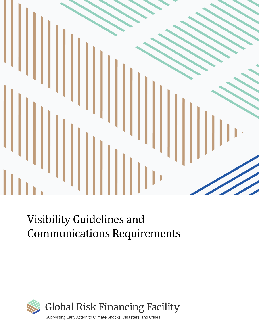

# Visibility Guidelines and Communications Requirements

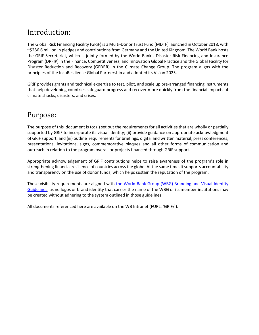### Introduction:

The Global Risk Financing Facility (GRiF) is a Multi-Donor Trust Fund (MDTF) launched in October 2018, with ~\$286.6 million in pledges and contributions from Germany and the United Kingdom. The World Bank hosts the GRiF Secretariat, which is jointly formed by the World Bank's Disaster Risk Financing and Insurance Program (DRFIP) in the Finance, Competitiveness, and Innovation Global Practice and the Global Facility for Disaster Reduction and Recovery (GFDRR) in the Climate Change Group. The program aligns with the principles of the InsuResilience Global Partnership and adopted its Vision 2025.

GRiF provides grants and technical expertise to test, pilot, and scale up pre-arranged financing instruments that help developing countries safeguard progress and recover more quickly from the financial impacts of climate shocks, disasters, and crises.

### Purpose:

The purpose of this document is to: (i) set out the requirements for all activities that are wholly or partially supported by GRiF to incorporate its visual identity; (ii) provide guidance on appropriate acknowledgment of GRiF support; and (iii) outline requirements for briefings, digital and written material, press conferences, presentations, invitations, signs, commemorative plaques and all other forms of communication and outreach in relation to the program overall or projects financed through GRiF support.

Appropriate acknowledgement of GRiF contributions helps to raise awareness of the program's role in strengthening financial resilience of countries across the globe. At the same time, it supports accountability and transparency on the use of donor funds, which helps sustain the reputation of the program.

These visibility requirements are aligned with [the World Bank Group \(WBG\) Branding and Visual Identity](http://pubdocs.worldbank.org/en/754991511203317714/WBG-VIG-20171114.pdf)  [Guidelines,](http://pubdocs.worldbank.org/en/754991511203317714/WBG-VIG-20171114.pdf) as no logos or brand identity that carries the name of the WBG or its member institutions may be created without adhering to the system outlined in those guidelines.

All documents referenced here are available on the WB Intranet (FURL: 'GRIF/').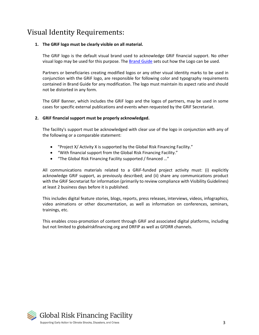### Visual Identity Requirements:

#### **1. The GRiF logo must be clearly visible on all material.**

The GRiF logo is the default visual brand used to acknowledge GRiF financial support. No other visual logo may be used for this purpose. The [Brand Guide](https://worldbankgroup.sharepoint.com/sites/wbsites/GRiF/Knowledge%20Base/GRiF%20Brandbook%20single.pdf) sets out how the Logo can be used.

Partners or beneficiaries creating modified logos or any other visual identity marks to be used in conjunction with the GRiF logo, are responsible for following color and typography requirements contained in Brand Guide for any modification. The logo must maintain its aspect ratio and should not be distorted in any form.

The GRiF Banner, which includes the GRiF logo and the logos of partners, may be used in some cases for specific external publications and events when requested by the GRiF Secretariat.

#### **2. GRiF financial support must be properly acknowledged.**

The facility's support must be acknowledged with clear use of the logo in conjunction with any of the following or a comparable statement:

- "Project X/ Activity X is supported by the Global Risk Financing Facility."
- "With financial support from the Global Risk Financing Facility."
- "The Global Risk Financing Facility supported / financed …"

All communications materials related to a GRiF-funded project activity must: (i) explicitly acknowledge GRiF support, as previously described; and (ii) share any communications product with the GRiF Secretariat for information (primarily to review compliance with Visibility Guidelines) at least 2 business days before it is published.

This includes digital feature stories, blogs, reports, press releases, interviews, videos, infographics, video animations or other documentation, as well as information on conferences, seminars, trainings, etc.

This enables cross-promotion of content through GRiF and associated digital platforms, including but not limited to globalriskfinancing.org and DRFIP as well as GFDRR channels.

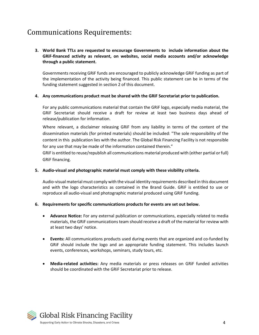### Communications Requirements:

**3. World Bank TTLs are requested to encourage Governments to include information about the GRiF-financed activity as relevant, on websites, social media accounts and/or acknowledge through a public statement.**

Governments receiving GRiF funds are encouraged to publicly acknowledge GRiF funding as part of the implementation of the activity being financed. This public statement can be in terms of the funding statement suggested in section 2 of this document.

#### **4. Any communications product must be shared with the GRiF Secretariat prior to publication.**

For any public communications material that contain the GRiF logo, especially media material, the GRiF Secretariat should receive a draft for review at least two business days ahead of release/publication for information.

Where relevant, a disclaimer releasing GRiF from any liability in terms of the content of the dissemination materials (for printed materials) should be included: "The sole responsibility of the content in this publication lies with the author. The Global Risk Financing Facility is not responsible for any use that may be made of the information contained therein."

GRiF is entitled to reuse/republish all communications material produced with (either partial or full) GRiF financing.

#### **5. Audio-visual and photographic material must comply with these visibility criteria.**

Audio-visual material must comply with the visual identity requirements described in this document and with the logo characteristics as contained in the Brand Guide. GRiF is entitled to use or reproduce all audio-visual and photographic material produced using GRiF funding.

#### **6. Requirements for specific communications products for events are set out below.**

- **Advance Notice:** For any external publication or communications, especially related to media materials, the GRiF communications team should receive a draft of the material for review with at least two days' notice.
- **Events:** All communications products used during events that are organized and co-funded by GRiF should include the logo and an appropriate funding statement. This includes launch events, conferences, workshops, seminars, study tours, etc.
- **Media-related activities:** Any media materials or press releases on GRiF funded activities should be coordinated with the GRiF Secretariat prior to release.

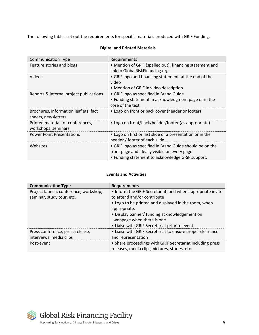The following tables set out the requirements for specific materials produced with GRiF Funding.

| <b>Communication Type</b>                                    | Requirements                                                                                                                                                 |
|--------------------------------------------------------------|--------------------------------------------------------------------------------------------------------------------------------------------------------------|
| Feature stories and blogs                                    | • Mention of GRIF (spelled out), financing statement and                                                                                                     |
|                                                              | link to GlobalRiskFinancing.org                                                                                                                              |
| Videos                                                       | • GRIF logo and financing statement at the end of the                                                                                                        |
|                                                              | video                                                                                                                                                        |
|                                                              | • Mention of GRIF in video description                                                                                                                       |
| Reports & internal project publications                      | • GRIF logo as specified in Brand Guide                                                                                                                      |
|                                                              | • Funding statement in acknowledgment page or in the<br>core of the text                                                                                     |
| Brochures, information leaflets, fact<br>sheets, newsletters | • Logo on front or back cover (header or footer)                                                                                                             |
| Printed material for conferences,<br>workshops, seminars     | • Logo on front/back/header/footer (as appropriate)                                                                                                          |
| <b>Power Point Presentations</b>                             | • Logo on first or last slide of a presentation or in the<br>header / footer of each slide                                                                   |
| Websites                                                     | • GRIF logo as specified in Brand Guide should be on the<br>front page and ideally visible on every page<br>• Funding statement to acknowledge GRIF support. |

### **Digital and Printed Materials**

#### **Events and Activities**

| <b>Communication Type</b>             | <b>Requirements</b>                                        |
|---------------------------------------|------------------------------------------------------------|
| Project launch, conference, workshop, | • Inform the GRIF Secretariat, and when appropriate invite |
| seminar, study tour, etc.             | to attend and/or contribute                                |
|                                       | • Logo to be printed and displayed in the room, when       |
|                                       | appropriate.                                               |
|                                       | • Display banner/ funding acknowledgement on               |
|                                       | webpage when there is one                                  |
|                                       | • Liaise with GRIF Secretariat prior to event              |
| Press conference, press release,      | • Liaise with GRIF Secretariat to ensure proper clearance  |
| interviews, media clips               | and representation                                         |
| Post-event                            | • Share proceedings with GRIF Secretariat including press  |
|                                       | releases, media clips, pictures, stories, etc.             |